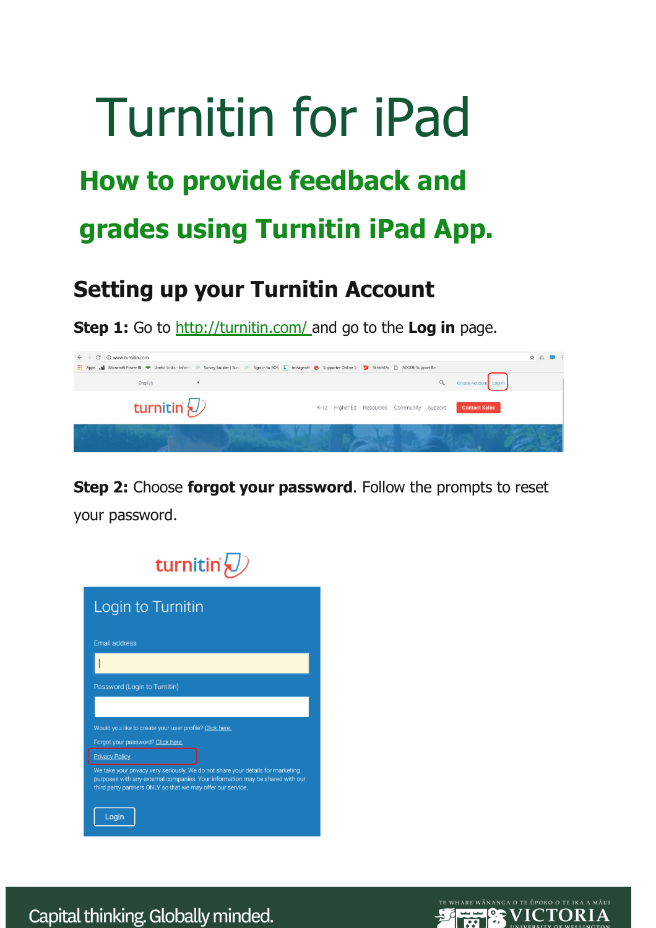# Turnitin for iPad **How to provide feedback and grades using Turnitin iPad App.**

# **Setting up your Turnitin Account**

**Step 1:** Go to <http://turnitin.com/> and go to the **Log in** page.

| C   C www.turnitin.com<br>$\leftarrow$ $\rightarrow$ | Apps III Microsoft Power BI <a>&gt; Useful Links - Inform <a> Useful Links - Inform <a> Useful Links - Inform <a> Useful Links - Inform <a> Useful Links - Inform <a> Useful Links - Inform <a> Useful Links - Inform <a> Useful</a></a></a></a></a></a></a></a> | ☆△ | . . |
|------------------------------------------------------|------------------------------------------------------------------------------------------------------------------------------------------------------------------------------------------------------------------------------------------------------------------|----|-----|
| English                                              | Create Account   Log In                                                                                                                                                                                                                                          |    |     |
| turnitin $\bigcirc$                                  | <b>Contact Sales</b><br>K-12 Higher Ed Resources Community Support                                                                                                                                                                                               |    |     |
|                                                      |                                                                                                                                                                                                                                                                  |    |     |

**Step 2:** Choose **forgot your password**. Follow the prompts to reset your password.



Capital thinking. Globally minded.

**SEE PE VICTORIA**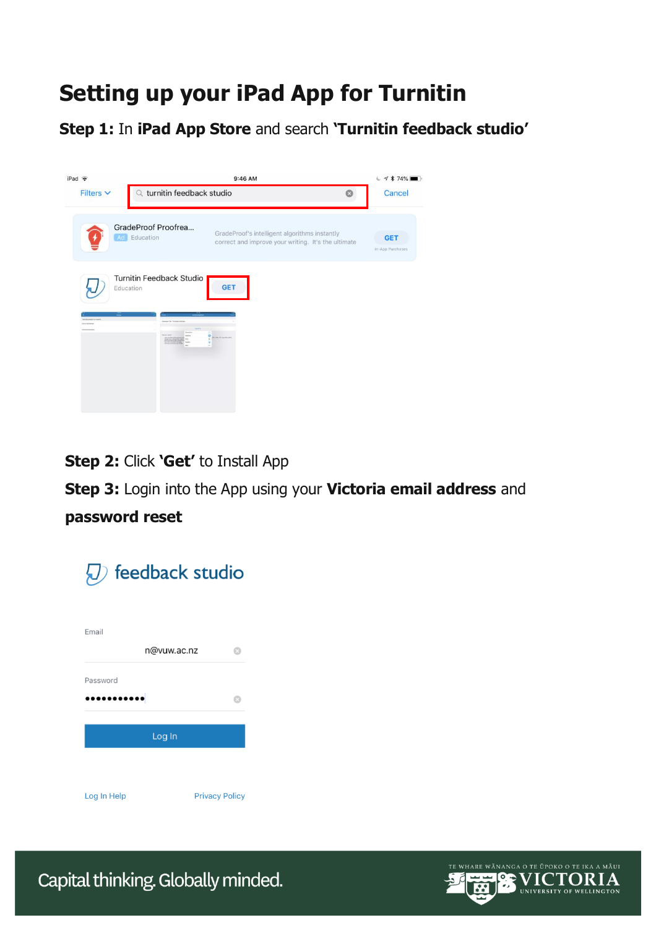# **Setting up your iPad App for Turnitin**

**Step 1:** In **iPad App Store** and search **'Turnitin feedback studio'**



**Step 2:** Click **'Get'** to Install App

**Step 3:** Login into the App using your **Victoria email address** and

## **password reset**



**VICTORIA OP**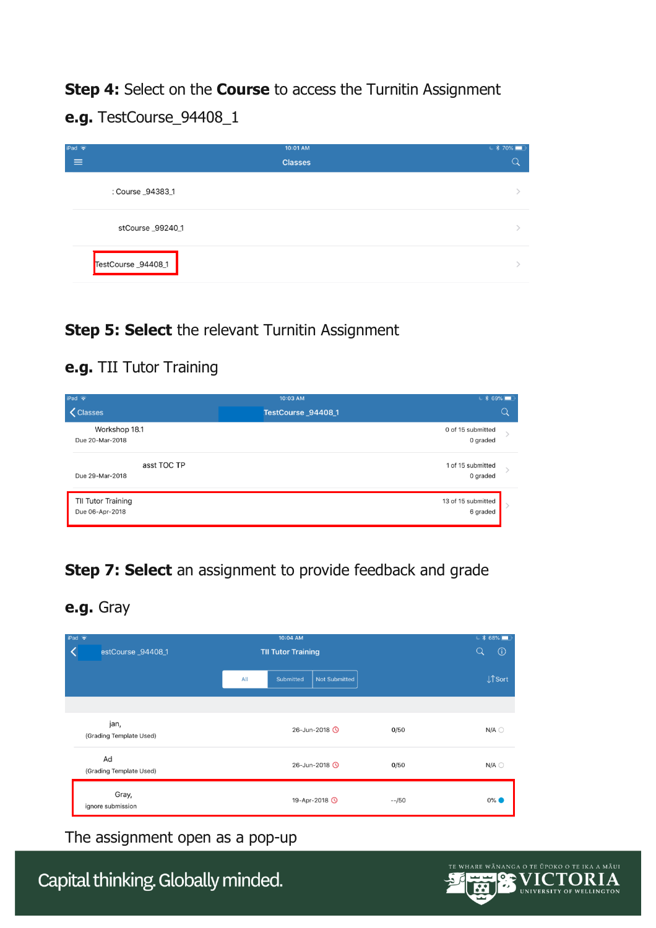**Step 4:** Select on the **Course** to access the Turnitin Assignment **e.g.** TestCourse\_94408\_1

| iPad $\widehat{\mathbf{\infty}}$<br>≡ | 10:01 AM<br><b>Classes</b> | $*$ \$70% |
|---------------------------------------|----------------------------|-----------|
| Course _94383_1                       |                            |           |
| stCourse _99240_1                     |                            |           |
| TestCourse_94408_1                    |                            |           |

#### **Step 5: Select** the relevant Turnitin Assignment

#### **e.g.** TII Tutor Training

| iPad $\Rightarrow$<br><b>く</b> Classes | 10:03 AM<br>TestCourse_94408_1 | $\sim$ * 69%<br>Q              |
|----------------------------------------|--------------------------------|--------------------------------|
| Workshop 18.1<br>Due 20-Mar-2018       |                                | 0 of 15 submitted<br>0 graded  |
| asst TOC TP<br>Due 29-Mar-2018         |                                | 1 of 15 submitted<br>0 graded  |
| TII Tutor Training<br>Due 06-Apr-2018  |                                | 13 of 15 submitted<br>6 graded |

# **Step 7: Select** an assignment to provide feedback and grade

**e.g.** Gray

| iPad $\Rightarrow$<br>estCourse_94408_1 | 10:04 AM<br><b>TII Tutor Training</b>    |         | $4868\text{ m}$<br>$\odot$<br>Q |
|-----------------------------------------|------------------------------------------|---------|---------------------------------|
|                                         | All<br><b>Not Submitted</b><br>Submitted |         | <b>J</b> <sup>o</sup> Sort      |
|                                         |                                          |         |                                 |
| jan,<br>(Grading Template Used)         | 26-Jun-2018 0                            | 0/50    | $N/A$ $\bigcirc$                |
| Ad<br>(Grading Template Used)           | 26-Jun-2018 <b>O</b>                     | 0/50    | $N/A$ $\bigcirc$                |
| Gray,<br>ignore submission              | 19-Apr-2018 <b>O</b>                     | $-1/50$ | $0\%$                           |

The assignment open as a pop-up

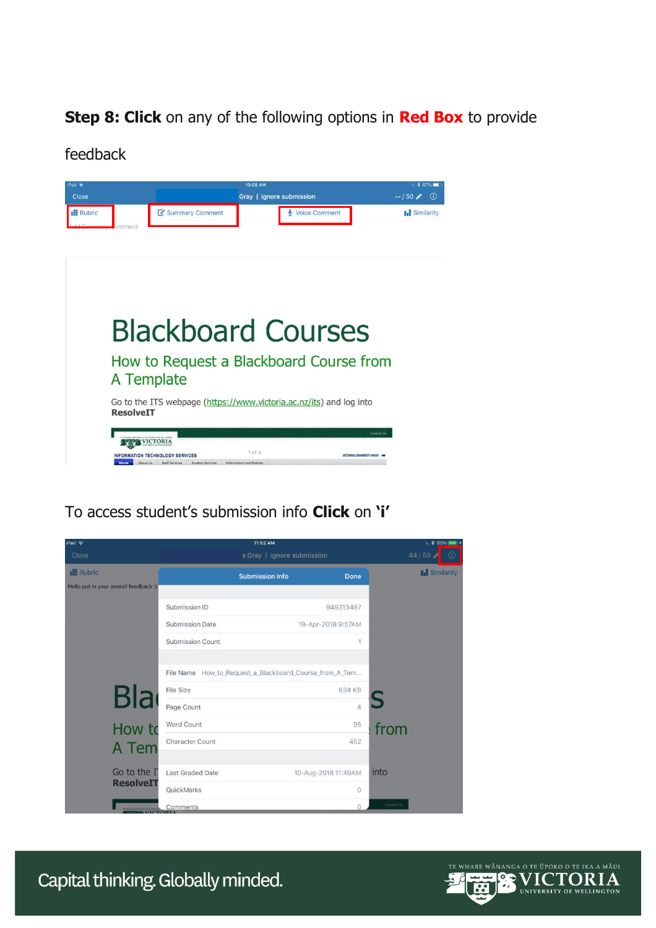## **Step 8: Click** on any of the following options in **Red Box** to provide

feedback

| $Pad \approx$     |                                                | 10:08 AM                                                            | $* 67\%$                   |
|-------------------|------------------------------------------------|---------------------------------------------------------------------|----------------------------|
| Close             |                                                | Gray   ignore submission                                            | $-150/$<br>(i)             |
| <b>Ell</b> Rubric | Summary Comment                                | Voice Comment                                                       | <b>I.</b> Similarity       |
| mment             |                                                |                                                                     |                            |
|                   |                                                |                                                                     |                            |
|                   |                                                |                                                                     |                            |
|                   |                                                |                                                                     |                            |
|                   |                                                |                                                                     |                            |
|                   |                                                |                                                                     |                            |
|                   |                                                |                                                                     |                            |
|                   |                                                | <b>Blackboard Courses</b>                                           |                            |
|                   |                                                |                                                                     |                            |
|                   |                                                | How to Request a Blackboard Course from                             |                            |
|                   | A Template                                     |                                                                     |                            |
|                   |                                                | Go to the ITS webpage (https://www.victoria.ac.nz/its) and log into |                            |
| <b>ResolveIT</b>  |                                                |                                                                     |                            |
|                   |                                                |                                                                     |                            |
|                   | <b>VICTORIA</b>                                |                                                                     | Contact Us                 |
|                   | <b>ION TECHNOLOGY SERVICES</b>                 | $1$ of $4$                                                          | VICTORIA UNIVERSITY HOME = |
|                   | Staff Services<br>Student Services<br>About Us | Information and Policies                                            |                            |
|                   |                                                |                                                                     |                            |

# To access student's submission info **Click** on **'i'**



TE **VICTORIA**  $\bullet$ UNIVERSITY OF WELLINGTON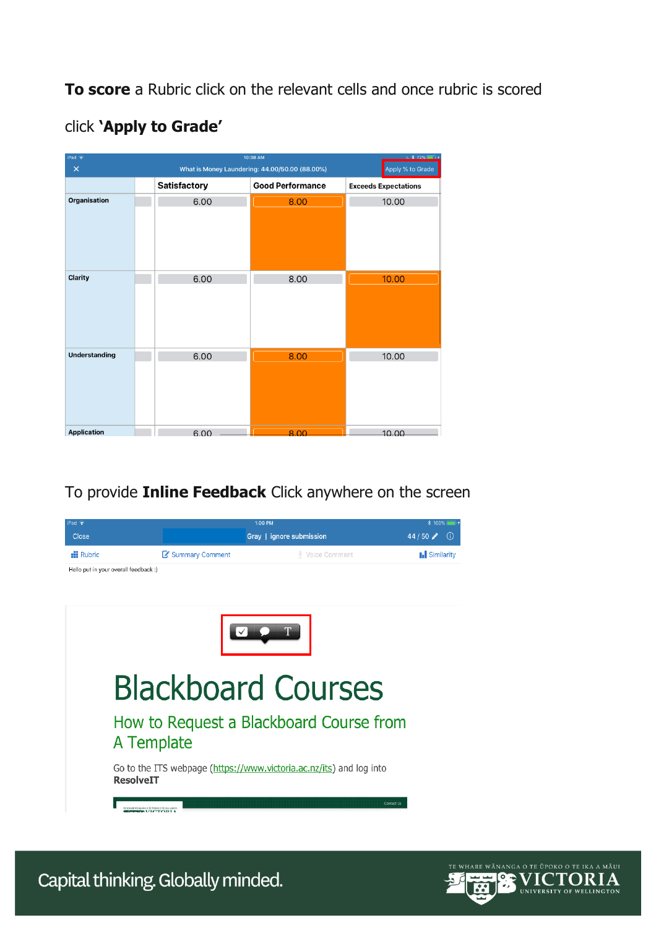**To score** a Rubric click on the relevant cells and once rubric is scored

| $\sqrt{28}$ 72%<br>10:38 AM<br>iPad $\Rightarrow$ |  |                                                                    |                         |                             |  |
|---------------------------------------------------|--|--------------------------------------------------------------------|-------------------------|-----------------------------|--|
| $\times$                                          |  | What is Money Laundering: 44.00/50.00 (88.00%)<br>Apply % to Grade |                         |                             |  |
|                                                   |  | <b>Satisfactory</b>                                                | <b>Good Performance</b> | <b>Exceeds Expectations</b> |  |
| Organisation                                      |  | 6.00                                                               | 8.00                    | 10.00                       |  |
|                                                   |  |                                                                    |                         |                             |  |
| Clarity                                           |  | 6.00                                                               | 8.00                    | 10.00                       |  |
|                                                   |  |                                                                    |                         |                             |  |
| <b>Understanding</b>                              |  | 6.00                                                               | 8.00                    | 10.00                       |  |
|                                                   |  |                                                                    |                         |                             |  |
| <b>Application</b>                                |  | 6.00                                                               | 800                     | 10,00                       |  |

# click **'Apply to Grade'**

## To provide **Inline Feedback** Click anywhere on the screen



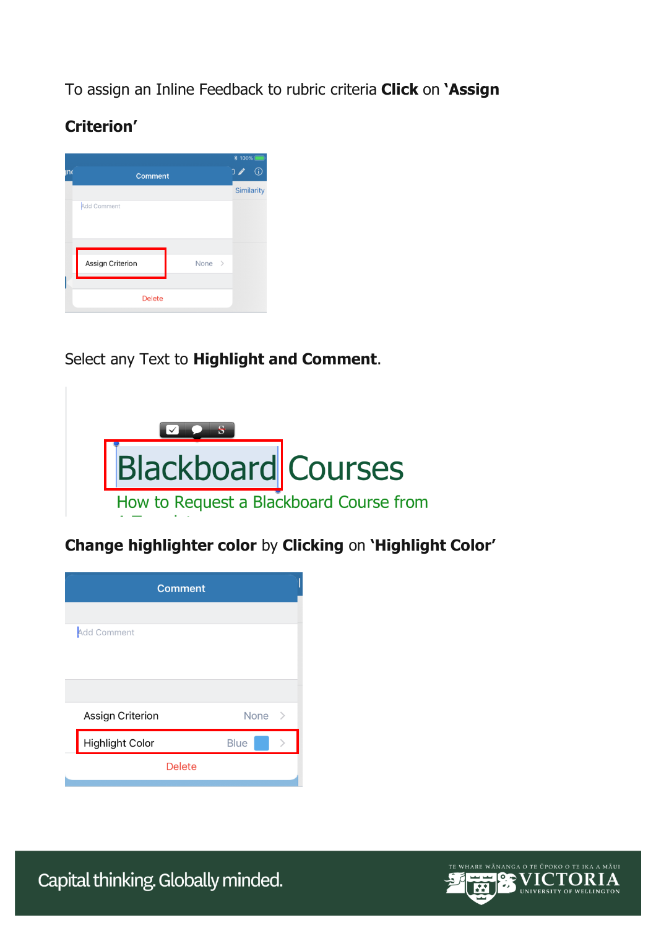To assign an Inline Feedback to rubric criteria **Click** on **'Assign** 

# **Criterion'**

| ۱n                 | <b>Comment</b>   |                    | <b>* 100%</b><br>$\overline{O}$ | $\odot$ |
|--------------------|------------------|--------------------|---------------------------------|---------|
| <b>Add Comment</b> |                  |                    | <b>Similarity</b>               |         |
|                    | Assign Criterion | None $\rightarrow$ |                                 |         |
|                    | <b>Delete</b>    |                    |                                 |         |

# Select any Text to **Highlight and Comment**.



**Change highlighter color** by **Clicking** on **'Highlight Color'**

| <b>Comment</b>         |                       |
|------------------------|-----------------------|
|                        |                       |
| <b>Add Comment</b>     |                       |
|                        |                       |
|                        |                       |
|                        |                       |
| Assign Criterion       | None<br>$\rightarrow$ |
| <b>Highlight Color</b> | <b>Blue</b>           |
| <b>Delete</b>          |                       |
|                        |                       |

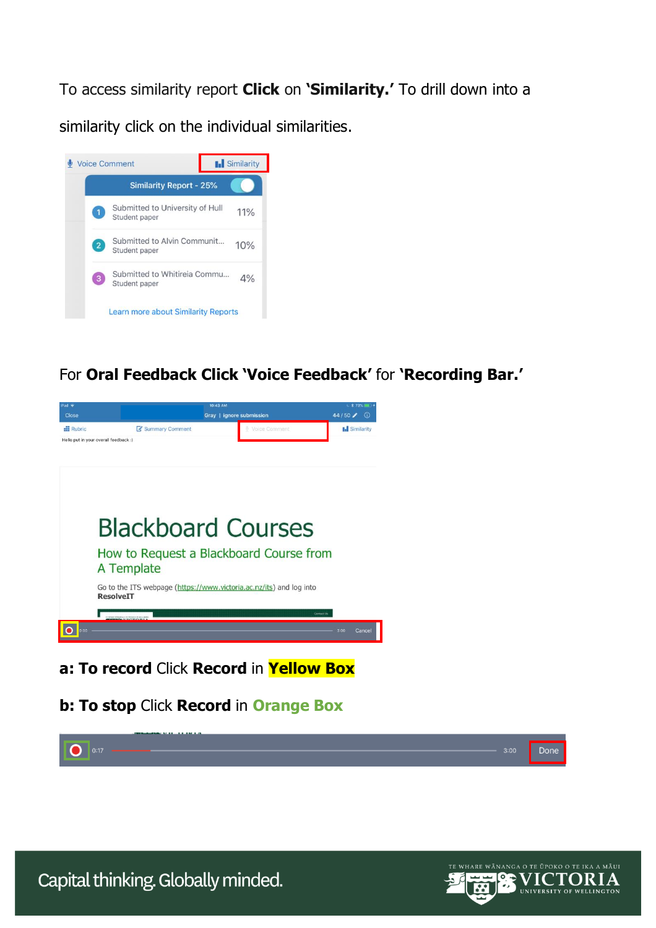To access similarity report **Click** on **'Similarity.'** To drill down into a

similarity click on the individual similarities.



For **Oral Feedback Click 'Voice Feedback'** for **'Recording Bar.'**



**a: To record** Click **Record** in **Yellow Box**

**b: To stop** Click **Record** in **Orange Box**